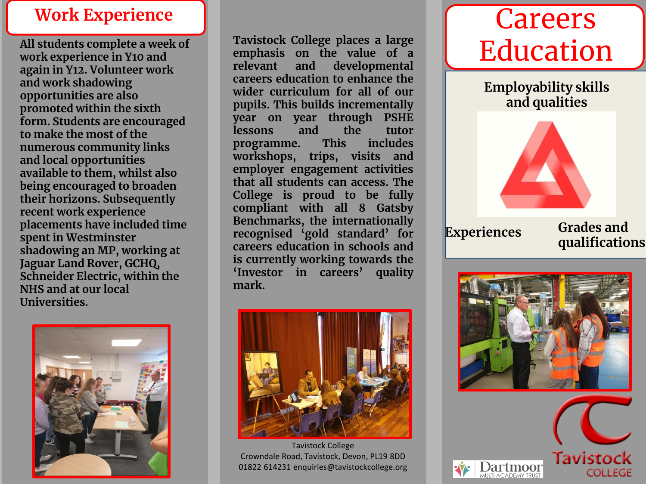#### **Work Experience**

**All students complete a week of work experience in Y10 and again in Y12. Volunteer work and work shadowing opportunities are also promoted within the sixth form. Students are encouraged to make the most of the numerous community links and local opportunities available to them, whilst also being encouraged to broaden their horizons. Subsequently recent work experience placements have included time spent in Westminster shadowing an MP, working at Jaguar Land Rover, GCHQ, Schneider Electric, within the NHS and at our local Universities.**



**Tavistock College places a large emphasis on the value of a relevant and developmental careers education to enhance the wider curriculum for all of our pupils. This builds incrementally year on year through PSHE lessons and the tutor programme.** This **workshops, trips, visits and employer engagement activities that all students can access. The College is proud to be fully compliant with all 8 Gatsby Benchmarks, the internationally recognised 'gold standard' for careers education in schools and is currently working towards the 'Investor in careers' quality mark.**



Tavistock College Crowndale Road, Tavistock, Devon, PL19 8DD 01822 614231 enquiries@tavistockcollege.org

# Careers Education

**Employability skills and qualities**



**Experiences Grades and qualifications**